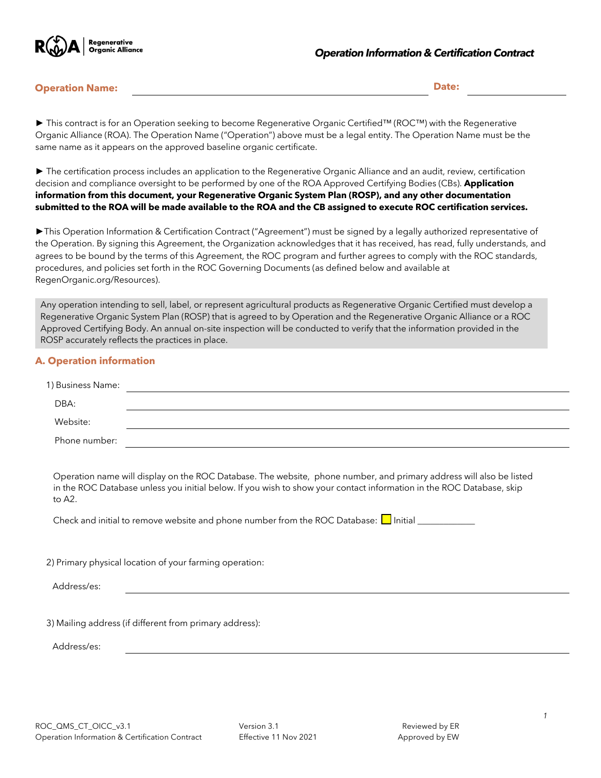

#### **Operation Name: Date:**

*►* This contract is for an Operation seeking to become Regenerative Organic Certified™ (ROC™) with the Regenerative Organic Alliance (ROA). The Operation Name ("Operation") above must be a legal entity. The Operation Name must be the same name as it appears on the approved baseline organic certificate.

*►* The certification process includes an application to the Regenerative Organic Alliance and an audit, review, certification decision and compliance oversight to be performed by one of the ROA Approved Certifying Bodies (CBs). **Application information from this document, your Regenerative Organic System Plan (ROSP), and any other documentation submitted to the ROA will be made available to the ROA and the CB assigned to execute ROC certification services.**

*►*This Operation Information & Certification Contract ("Agreement") must be signed by a legally authorized representative of the Operation. By signing this Agreement, the Organization acknowledges that it has received, has read, fully understands, and agrees to be bound by the terms of this Agreement, the ROC program and further agrees to comply with the ROC standards, procedures, and policies set forth in the ROC Governing Documents (as defined below and available at RegenOrganic.org/Resources).

Any operation intending to sell, label, or represent agricultural products as Regenerative Organic Certified must develop a Regenerative Organic System Plan (ROSP) that is agreed to by Operation and the Regenerative Organic Alliance or a ROC Approved Certifying Body. An annual on-site inspection will be conducted to verify that the information provided in the ROSP accurately reflects the practices in place.

## **A. Operation information**

| 1) Business Name: |                                                                                                                                                                                                                                                                                                                                            |
|-------------------|--------------------------------------------------------------------------------------------------------------------------------------------------------------------------------------------------------------------------------------------------------------------------------------------------------------------------------------------|
| DBA:              |                                                                                                                                                                                                                                                                                                                                            |
| Website:          | <u> 1999 - Johann Stoff, deutscher Stoff, der Stoff, der Stoff, der Stoff, der Stoff, der Stoff, der Stoff, der S</u>                                                                                                                                                                                                                      |
| Phone number:     |                                                                                                                                                                                                                                                                                                                                            |
| to A2.            | Operation name will display on the ROC Database. The website, phone number, and primary address will also be listed<br>in the ROC Database unless you initial below. If you wish to show your contact information in the ROC Database, skip<br>Check and initial to remove website and phone number from the ROC Database: Initial Initial |
|                   | 2) Primary physical location of your farming operation:                                                                                                                                                                                                                                                                                    |
| Address/es:       |                                                                                                                                                                                                                                                                                                                                            |
| Address/es:       | 3) Mailing address (if different from primary address):                                                                                                                                                                                                                                                                                    |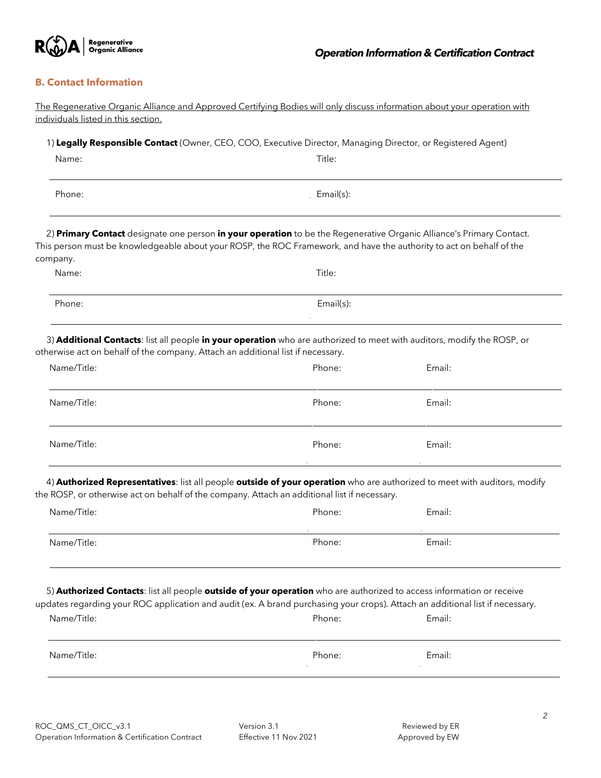

# **B. Contact Information**

| individuals listed in this section.                                                                                                                                                                                                                                   |           |        |
|-----------------------------------------------------------------------------------------------------------------------------------------------------------------------------------------------------------------------------------------------------------------------|-----------|--------|
| 1) Legally Responsible Contact (Owner, CEO, COO, Executive Director, Managing Director, or Registered Agent)                                                                                                                                                          |           |        |
| Name:                                                                                                                                                                                                                                                                 | Title:    |        |
| Phone:                                                                                                                                                                                                                                                                | Email(s): |        |
| 2) Primary Contact designate one person in your operation to be the Regenerative Organic Alliance's Primary Contact.<br>This person must be knowledgeable about your ROSP, the ROC Framework, and have the authority to act on behalf of the<br>company.              |           |        |
| Name:                                                                                                                                                                                                                                                                 | Title:    |        |
| Phone:                                                                                                                                                                                                                                                                | Email(s): |        |
| 3) Additional Contacts: list all people in your operation who are authorized to meet with auditors, modify the ROSP, or<br>otherwise act on behalf of the company. Attach an additional list if necessary.                                                            |           |        |
| Name/Title:                                                                                                                                                                                                                                                           | Phone:    | Email: |
| Name/Title:                                                                                                                                                                                                                                                           | Phone:    | Email: |
| Name/Title:                                                                                                                                                                                                                                                           | Phone:    | Email: |
| 4) Authorized Representatives: list all people outside of your operation who are authorized to meet with auditors, modify<br>the ROSP, or otherwise act on behalf of the company. Attach an additional list if necessary.                                             |           |        |
| Name/Title:                                                                                                                                                                                                                                                           | Phone:    | Email: |
| Name/Title:                                                                                                                                                                                                                                                           | Phone:    | Email: |
| 5) Authorized Contacts: list all people outside of your operation who are authorized to access information or receive<br>updates regarding your ROC application and audit (ex. A brand purchasing your crops). Attach an additional list if necessary.<br>Name/Title: | Phone:    | Email: |
|                                                                                                                                                                                                                                                                       |           |        |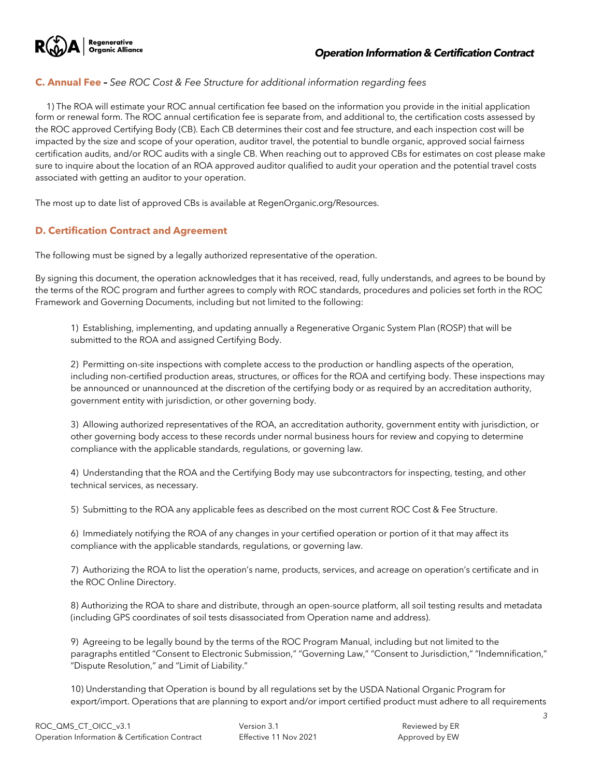

## **C. Annual Fee** *– See ROC Cost & Fee Structure for additional information regarding fees*

1) The ROA will estimate your ROC annual certification fee based on the information you provide in the initial application form or renewal form. The ROC annual certification fee is separate from, and additional to, the certification costs assessed by the ROC approved Certifying Body (CB). Each CB determines their cost and fee structure, and each inspection cost will be impacted by the size and scope of your operation, auditor travel, the potential to bundle organic, approved social fairness certification audits, and/or ROC audits with a single CB. When reaching out to approved CBs for estimates on cost please make sure to inquire about the location of an ROA approved auditor qualified to audit your operation and the potential travel costs associated with getting an auditor to your operation.

The most up to date list of approved CBs is available at RegenOrganic.org/Resources.

## **D. Certification Contract and Agreement**

The following must be signed by a legally authorized representative of the operation.

By signing this document, the operation acknowledges that it has received, read, fully understands, and agrees to be bound by the terms of the ROC program and further agrees to comply with ROC standards, procedures and policies set forth in the ROC Framework and Governing Documents, including but not limited to the following:

1) Establishing, implementing, and updating annually a Regenerative Organic System Plan (ROSP) that will be submitted to the ROA and assigned Certifying Body.

2) Permitting on-site inspections with complete access to the production or handling aspects of the operation, including non-certified production areas, structures, or offices for the ROA and certifying body. These inspections may be announced or unannounced at the discretion of the certifying body or as required by an accreditation authority, government entity with jurisdiction, or other governing body.

3) Allowing authorized representatives of the ROA, an accreditation authority, government entity with jurisdiction, or other governing body access to these records under normal business hours for review and copying to determine compliance with the applicable standards, regulations, or governing law.

4) Understanding that the ROA and the Certifying Body may use subcontractors for inspecting, testing, and other technical services, as necessary.

5) Submitting to the ROA any applicable fees as described on the most current ROC Cost & Fee Structure.

6) Immediately notifying the ROA of any changes in your certified operation or portion of it that may affect its compliance with the applicable standards, regulations, or governing law.

7) Authorizing the ROA to list the operation's name, products, services, and acreage on operation's certificate and in the ROC Online Directory.

8) Authorizing the ROA to share and distribute, through an open-source platform, all soil testing results and metadata (including GPS coordinates of soil tests disassociated from Operation name and address).

9) Agreeing to be legally bound by the terms of the ROC Program Manual, including but not limited to the paragraphs entitled "Consent to Electronic Submission," "Governing Law," "Consent to Jurisdiction," "Indemnification," "Dispute Resolution," and "Limit of Liability."

10) Understanding that Operation is bound by all regulations set by the USDA National Organic Program for export/import. Operations that are planning to export and/or import certified product must adhere to all requirements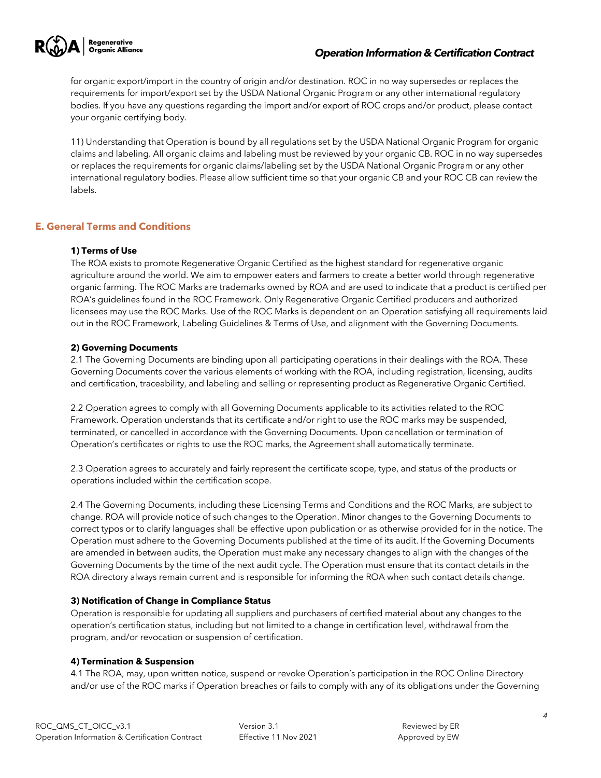

## *Operation Information & Certification Contract*

for organic export/import in the country of origin and/or destination. ROC in no way supersedes or replaces the requirements for import/export set by the USDA National Organic Program or any other international regulatory bodies. If you have any questions regarding the import and/or export of ROC crops and/or product, please contact your organic certifying body.

11) Understanding that Operation is bound by all regulations set by the USDA National Organic Program for organic claims and labeling. All organic claims and labeling must be reviewed by your organic CB. ROC in no way supersedes or replaces the requirements for organic claims/labeling set by the USDA National Organic Program or any other international regulatory bodies. Please allow sufficient time so that your organic CB and your ROC CB can review the labels.

## **E. General Terms and Conditions**

## **1) Terms of Use**

The ROA exists to promote Regenerative Organic Certified as the highest standard for regenerative organic agriculture around the world. We aim to empower eaters and farmers to create a better world through regenerative organic farming. The ROC Marks are trademarks owned by ROA and are used to indicate that a product is certified per ROA's guidelines found in the ROC Framework. Only Regenerative Organic Certified producers and authorized licensees may use the ROC Marks. Use of the ROC Marks is dependent on an Operation satisfying all requirements laid out in the ROC Framework, Labeling Guidelines & Terms of Use, and alignment with the Governing Documents.

## **2) Governing Documents**

2.1 The Governing Documents are binding upon all participating operations in their dealings with the ROA. These Governing Documents cover the various elements of working with the ROA, including registration, licensing, audits and certification, traceability, and labeling and selling or representing product as Regenerative Organic Certified.

2.2 Operation agrees to comply with all Governing Documents applicable to its activities related to the ROC Framework. Operation understands that its certificate and/or right to use the ROC marks may be suspended, terminated, or cancelled in accordance with the Governing Documents. Upon cancellation or termination of Operation's certificates or rights to use the ROC marks, the Agreement shall automatically terminate.

2.3 Operation agrees to accurately and fairly represent the certificate scope, type, and status of the products or operations included within the certification scope.

2.4 The Governing Documents, including these Licensing Terms and Conditions and the ROC Marks, are subject to change. ROA will provide notice of such changes to the Operation. Minor changes to the Governing Documents to correct typos or to clarify languages shall be effective upon publication or as otherwise provided for in the notice. The Operation must adhere to the Governing Documents published at the time of its audit. If the Governing Documents are amended in between audits, the Operation must make any necessary changes to align with the changes of the Governing Documents by the time of the next audit cycle. The Operation must ensure that its contact details in the ROA directory always remain current and is responsible for informing the ROA when such contact details change.

#### **3) Notification of Change in Compliance Status**

Operation is responsible for updating all suppliers and purchasers of certified material about any changes to the operation's certification status, including but not limited to a change in certification level, withdrawal from the program, and/or revocation or suspension of certification.

#### **4) Termination & Suspension**

4.1 The ROA, may, upon written notice, suspend or revoke Operation's participation in the ROC Online Directory and/or use of the ROC marks if Operation breaches or fails to comply with any of its obligations under the Governing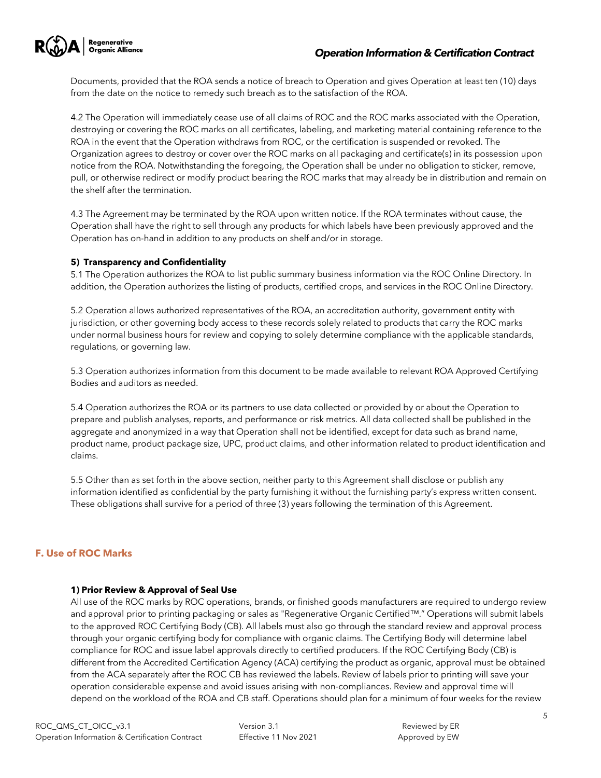

Documents, provided that the ROA sends a notice of breach to Operation and gives Operation at least ten (10) days from the date on the notice to remedy such breach as to the satisfaction of the ROA.

4.2 The Operation will immediately cease use of all claims of ROC and the ROC marks associated with the Operation, destroying or covering the ROC marks on all certificates, labeling, and marketing material containing reference to the ROA in the event that the Operation withdraws from ROC, or the certification is suspended or revoked. The Organization agrees to destroy or cover over the ROC marks on all packaging and certificate(s) in its possession upon notice from the ROA. Notwithstanding the foregoing, the Operation shall be under no obligation to sticker, remove, pull, or otherwise redirect or modify product bearing the ROC marks that may already be in distribution and remain on the shelf after the termination.

4.3 The Agreement may be terminated by the ROA upon written notice. If the ROA terminates without cause, the Operation shall have the right to sell through any products for which labels have been previously approved and the Operation has on-hand in addition to any products on shelf and/or in storage.

## **5) Transparency and Confidentiality**

5.1 The Operation authorizes the ROA to list public summary business information via the ROC Online Directory. In addition, the Operation authorizes the listing of products, certified crops, and services in the ROC Online Directory.

5.2 Operation allows authorized representatives of the ROA, an accreditation authority, government entity with jurisdiction, or other governing body access to these records solely related to products that carry the ROC marks under normal business hours for review and copying to solely determine compliance with the applicable standards, regulations, or governing law.

5.3 Operation authorizes information from this document to be made available to relevant ROA Approved Certifying Bodies and auditors as needed.

5.4 Operation authorizes the ROA or its partners to use data collected or provided by or about the Operation to prepare and publish analyses, reports, and performance or risk metrics. All data collected shall be published in the aggregate and anonymized in a way that Operation shall not be identified, except for data such as brand name, product name, product package size, UPC, product claims, and other information related to product identification and claims.

5.5 Other than as set forth in the above section, neither party to this Agreement shall disclose or publish any information identified as confidential by the party furnishing it without the furnishing party's express written consent. These obligations shall survive for a period of three (3) years following the termination of this Agreement.

# **F. Use of ROC Marks**

#### **1) Prior Review & Approval of Seal Use**

All use of the ROC marks by ROC operations, brands, or finished goods manufacturers are required to undergo review and approval prior to printing packaging or sales as "Regenerative Organic Certified™." Operations will submit labels to the approved ROC Certifying Body (CB). All labels must also go through the standard review and approval process through your organic certifying body for compliance with organic claims. The Certifying Body will determine label compliance for ROC and issue label approvals directly to certified producers. If the ROC Certifying Body (CB) is different from the Accredited Certification Agency (ACA) certifying the product as organic, approval must be obtained from the ACA separately after the ROC CB has reviewed the labels. Review of labels prior to printing will save your operation considerable expense and avoid issues arising with non-compliances. Review and approval time will depend on the workload of the ROA and CB staff. Operations should plan for a minimum of four weeks for the review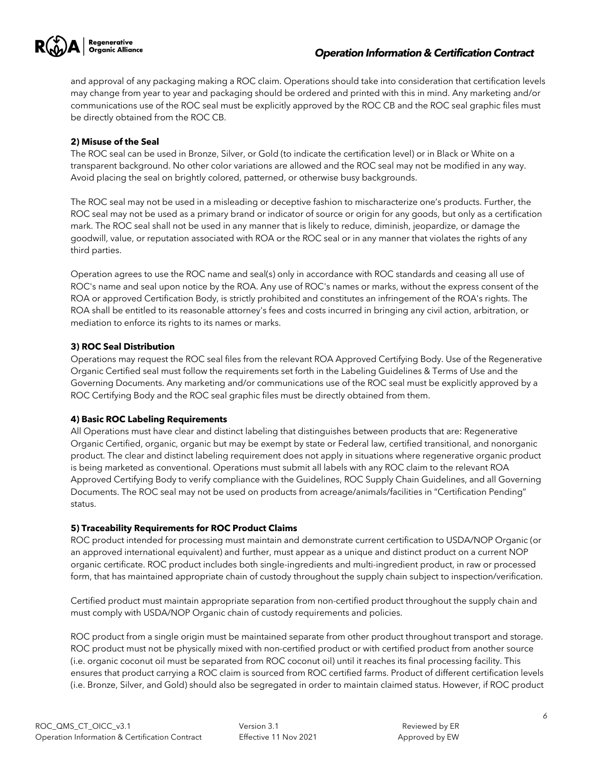

## *Operation Information & Certification Contract*

and approval of any packaging making a ROC claim. Operations should take into consideration that certification levels may change from year to year and packaging should be ordered and printed with this in mind. Any marketing and/or communications use of the ROC seal must be explicitly approved by the ROC CB and the ROC seal graphic files must be directly obtained from the ROC CB.

#### **2) Misuse of the Seal**

The ROC seal can be used in Bronze, Silver, or Gold (to indicate the certification level) or in Black or White on a transparent background. No other color variations are allowed and the ROC seal may not be modified in any way. Avoid placing the seal on brightly colored, patterned, or otherwise busy backgrounds.

The ROC seal may not be used in a misleading or deceptive fashion to mischaracterize one's products. Further, the ROC seal may not be used as a primary brand or indicator of source or origin for any goods, but only as a certification mark. The ROC seal shall not be used in any manner that is likely to reduce, diminish, jeopardize, or damage the goodwill, value, or reputation associated with ROA or the ROC seal or in any manner that violates the rights of any third parties.

Operation agrees to use the ROC name and seal(s) only in accordance with ROC standards and ceasing all use of ROC's name and seal upon notice by the ROA. Any use of ROC's names or marks, without the express consent of the ROA or approved Certification Body, is strictly prohibited and constitutes an infringement of the ROA's rights. The ROA shall be entitled to its reasonable attorney's fees and costs incurred in bringing any civil action, arbitration, or mediation to enforce its rights to its names or marks.

## **3) ROC Seal Distribution**

Operations may request the ROC seal files from the relevant ROA Approved Certifying Body. Use of the Regenerative Organic Certified seal must follow the requirements set forth in the Labeling Guidelines & Terms of Use and the Governing Documents. Any marketing and/or communications use of the ROC seal must be explicitly approved by a ROC Certifying Body and the ROC seal graphic files must be directly obtained from them.

#### **4) Basic ROC Labeling Requirements**

All Operations must have clear and distinct labeling that distinguishes between products that are: Regenerative Organic Certified, organic, organic but may be exempt by state or Federal law, certified transitional, and nonorganic product. The clear and distinct labeling requirement does not apply in situations where regenerative organic product is being marketed as conventional. Operations must submit all labels with any ROC claim to the relevant ROA Approved Certifying Body to verify compliance with the Guidelines, ROC Supply Chain Guidelines, and all Governing Documents. The ROC seal may not be used on products from acreage/animals/facilities in "Certification Pending" status.

#### **5) Traceability Requirements for ROC Product Claims**

ROC product intended for processing must maintain and demonstrate current certification to USDA/NOP Organic (or an approved international equivalent) and further, must appear as a unique and distinct product on a current NOP organic certificate. ROC product includes both single-ingredients and multi-ingredient product, in raw or processed form, that has maintained appropriate chain of custody throughout the supply chain subject to inspection/verification.

Certified product must maintain appropriate separation from non-certified product throughout the supply chain and must comply with USDA/NOP Organic chain of custody requirements and policies.

ROC product from a single origin must be maintained separate from other product throughout transport and storage. ROC product must not be physically mixed with non-certified product or with certified product from another source (i.e. organic coconut oil must be separated from ROC coconut oil) until it reaches its final processing facility. This ensures that product carrying a ROC claim is sourced from ROC certified farms. Product of different certification levels (i.e. Bronze, Silver, and Gold) should also be segregated in order to maintain claimed status. However, if ROC product